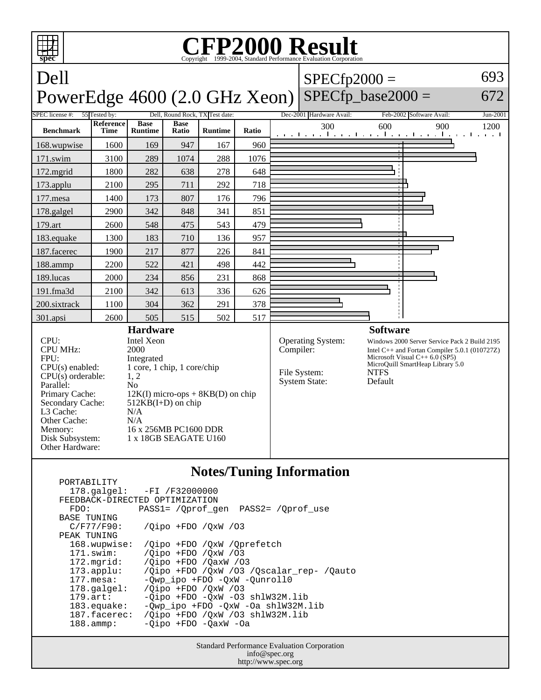

|                       | $178.\text{qalgel}: -FI /F32000000$<br>FEEDBACK-DIRECTED OPTIMIZATION |
|-----------------------|-----------------------------------------------------------------------|
| FDO:                  | PASS1= / Oprof gen PASS2= / Oprof use                                 |
| BASE TUNING           |                                                                       |
| $C/F77/F90$ :         | $\sqrt{O}$ ipo +FDO $\sqrt{O}$ xW $\sqrt{O}$ 3                        |
| PEAK TUNING           |                                                                       |
| 168.wupwise:          | /Oipo +FDO /OxW /Oprefetch                                            |
| $171$ .swim:          | /Oipo +FDO /OxW /03                                                   |
| 172.mgrid:            | /Oipo +FDO /OaxW /03                                                  |
| 173.append:           | /Oipo +FDO /OxW /O3 /Oscalar rep- /Oauto                              |
| $177.\text{mesa}$ :   | -Owp ipo +FDO -OxW -Ounroll0                                          |
| $178.\text{qalgel}$ : | /Oipo +FDO /OxW /03                                                   |
| $179.\text{art}$ :    | $-Qipo$ +FDO $-QxW$ -O3 shlW32M.lib                                   |
| $183$ .equake:        | -Qwp_ipo +FDO -QxW -Oa shlW32M.lib                                    |
| 187.facerec:          | /Oipo +FDO /OxW /O3 shlW32M.lib                                       |
| $188.\n$ ammp:        | -Oipo +FDO -OaxW -Oa                                                  |
|                       |                                                                       |

Standard Performance Evaluation Corporation info@spec.org http://www.spec.org